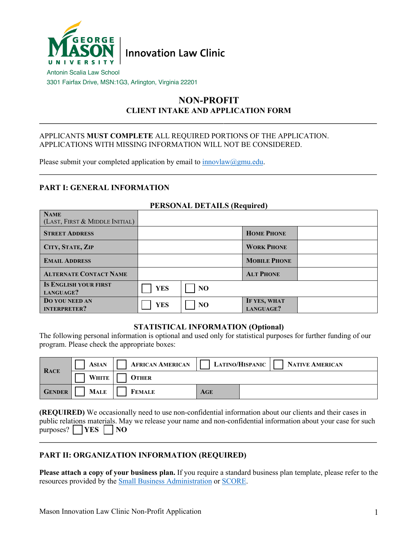

3301 Fairfax Drive, MSN:1G3, Arlington, Virginia 22201

# **NON-PROFIT CLIENT INTAKE AND APPLICATION FORM**

#### APPLICANTS **MUST COMPLETE** ALL REQUIRED PORTIONS OF THE APPLICATION. APPLICATIONS WITH MISSING INFORMATION WILL NOT BE CONSIDERED.

Please submit your completed application by email to  $\frac{1}{\text{nnov}}$   $\frac{1}{\text{num}}$ 

# **PART I: GENERAL INFORMATION**

### **PERSONAL DETAILS (Required)**

| <b>NAME</b><br>(LAST, FIRST & MIDDLE INITIAL) |            |                |                           |  |
|-----------------------------------------------|------------|----------------|---------------------------|--|
| <b>STREET ADDRESS</b>                         |            |                | <b>HOME PHONE</b>         |  |
| CITY, STATE, ZIP                              |            |                | <b>WORK PHONE</b>         |  |
| <b>EMAIL ADDRESS</b>                          |            |                | <b>MOBILE PHONE</b>       |  |
| <b>ALTERNATE CONTACT NAME</b>                 |            |                | <b>ALT PHONE</b>          |  |
| <b>IS ENGLISH YOUR FIRST</b><br>LANGUAGE?     | <b>YES</b> | N <sub>O</sub> |                           |  |
| DO YOU NEED AN<br><b>INTERPRETER?</b>         | <b>YES</b> | NO             | IF YES, WHAT<br>LANGUAGE? |  |

#### **STATISTICAL INFORMATION (Optional)**

The following personal information is optional and used only for statistical purposes for further funding of our program. Please check the appropriate boxes:

| <b>RACE</b>   | <b>ASIAN</b> | <b>AFRICAN AMERICAN</b> |     | LATINO/HISPANIC | NATIVE AMERICAN |
|---------------|--------------|-------------------------|-----|-----------------|-----------------|
|               | <b>WHITE</b> | <b>OTHER</b>            |     |                 |                 |
| <b>GENDER</b> | <b>MALE</b>  | <b>FEMALE</b>           | AGE |                 |                 |

**(REQUIRED)** We occasionally need to use non-confidential information about our clients and their cases in public relations materials. May we release your name and non-confidential information about your case for such  $purpose?$  **YES NO** 

## **PART II: ORGANIZATION INFORMATION (REQUIRED)**

**Please attach a copy of your business plan.** If you require a standard business plan template, please refer to the resources provided by the Small Business Administration or SCORE.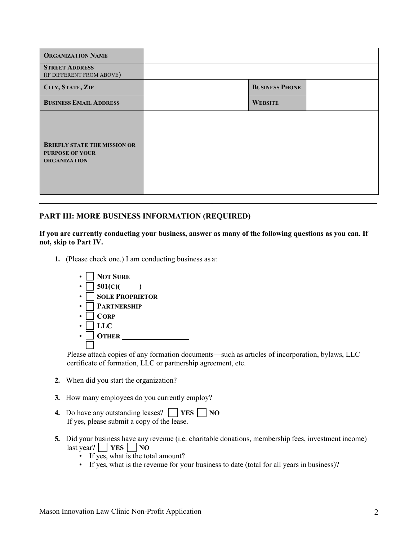| <b>ORGANIZATION NAME</b>                                                             |                       |  |
|--------------------------------------------------------------------------------------|-----------------------|--|
| <b>STREET ADDRESS</b><br>(IF DIFFERENT FROM ABOVE)                                   |                       |  |
| CITY, STATE, ZIP                                                                     | <b>BUSINESS PHONE</b> |  |
| <b>BUSINESS EMAIL ADDRESS</b>                                                        | <b>WEBSITE</b>        |  |
| <b>BRIEFLY STATE THE MISSION OR</b><br><b>PURPOSE OF YOUR</b><br><b>ORGANIZATION</b> |                       |  |

## **PART III: MORE BUSINESS INFORMATION (REQUIRED)**

#### **If you are currently conducting your business, answer as many of the following questions as you can. If not, skip to Part IV.**

**1.** (Please check one.) I am conducting business as a:



Please attach copies of any formation documents—such as articles of incorporation, bylaws, LLC certificate of formation, LLC or partnership agreement, etc.

- **2.** When did you start the organization?
- **3.** How many employees do you currently employ?
- **4.** Do have any outstanding leases?  $\Box$  **YES**  $\Box$  **NO** If yes, please submit a copy of the lease.
- **5.** Did your business have any revenue (i.e. charitable donations, membership fees, investment income)  $\left| \text{last year?} \right|$  **YES NO** 
	- If yes, what is the total amount?
	- If yes, what is the revenue for your business to date (total for all years in business)?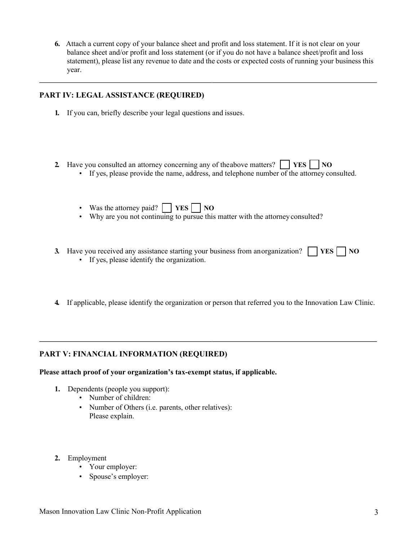**6.** Attach a current copy of your balance sheet and profit and loss statement. If it is not clear on your balance sheet and/or profit and loss statement (or if you do not have a balance sheet/profit and loss statement), please list any revenue to date and the costs or expected costs of running your business this year.

## **PART IV: LEGAL ASSISTANCE (REQUIRED)**

- **1.** If you can, briefly describe your legal questions and issues.
- **2.** Have you consulted an attorney concerning any of theabove matters?  $\Box$  **YES**  $\Box$  **NO** 
	- If yes, please provide the name, address, and telephone number of the attorney consulted.
	- Was the attorney paid?  $\Box$  **YES**  $\Box$  **NO**
	- Why are you not continuing to pursue this matter with the attorney consulted?
- **3.** Have you received any assistance starting your business from anorganization?  $\begin{bmatrix} \mathbf{YES} \end{bmatrix} \begin{bmatrix} \mathbf{NO} \end{bmatrix}$ • If yes, please identify the organization.
- **4.** If applicable, please identify the organization or person that referred you to the Innovation Law Clinic.

# **PART V: FINANCIAL INFORMATION (REQUIRED)**

#### **Please attach proof of your organization's tax-exempt status, if applicable.**

- **1.** Dependents (people you support):
	- Number of children:
	- Number of Others (i.e. parents, other relatives): Please explain.
- **2.** Employment
	- Your employer:
	- Spouse's employer: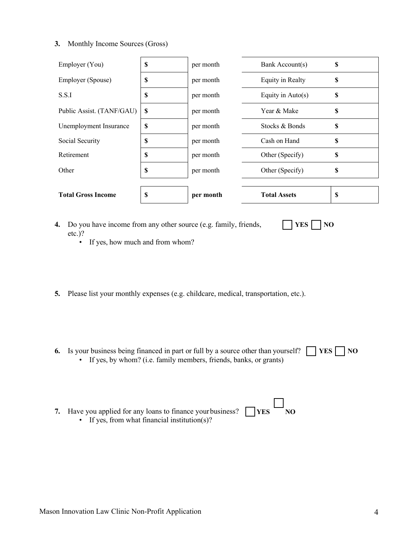#### **3.** Monthly Income Sources (Gross)

| Employer (You)            | <b>S</b>                  | per month | Bank Account(s)     | \$ |
|---------------------------|---------------------------|-----------|---------------------|----|
| Employer (Spouse)         | <b>S</b>                  | per month | Equity in Realty    | \$ |
| S.S.I                     | \$                        | per month | Equity in $Auto(s)$ | S  |
| Public Assist. (TANF/GAU) | <b>S</b>                  | per month | Year & Make         | \$ |
| Unemployment Insurance    | <b>S</b>                  | per month | Stocks & Bonds      | \$ |
| Social Security           | <b>S</b>                  | per month | Cash on Hand        | \$ |
| Retirement                | <b>S</b>                  | per month | Other (Specify)     | S  |
| Other                     | \$                        | per month | Other (Specify)     | \$ |
|                           |                           |           |                     |    |
| <b>Total Gross Income</b> | $\boldsymbol{\mathsf{s}}$ | per month | <b>Total Assets</b> | S  |

**4.** Do you have income from any other source (e.g. family, friends, etc.)?

 $\Box$  **YES**  $\Box$  **NO** 

- If yes, how much and from whom?
- **5.** Please list your monthly expenses (e.g. childcare, medical, transportation, etc.).
- **6.** Is your business being financed in part or full by a source other than yourself?  $\lceil \cdot \rceil$ • If yes, by whom? (i.e. family members, friends, banks, or grants)  $\Box$  **YES**  $\Box$  **NO**

| 7. Have you applied for any loans to finance your business? $\Box$ YES | $\overline{\phantom{a}}$ NO |
|------------------------------------------------------------------------|-----------------------------|
| • If yes, from what financial institution(s)?                          |                             |